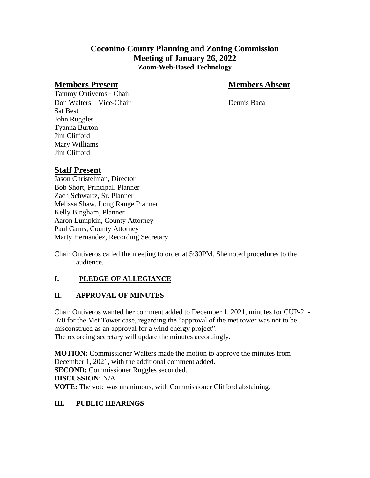# **Coconino County Planning and Zoning Commission Meeting of January 26, 2022 Zoom-Web-Based Technology**

#### **Members Present Members Absent**

Tammy Ontiveros- Chair Don Walters – Vice-Chair Dennis Baca Sat Best John Ruggles Tyanna Burton Jim Clifford Mary Williams Jim Clifford

# **Staff Present**

Jason Christelman, Director Bob Short, Principal. Planner Zach Schwartz, Sr. Planner Melissa Shaw, Long Range Planner Kelly Bingham, Planner Aaron Lumpkin, County Attorney Paul Garns, County Attorney Marty Hernandez, Recording Secretary

Chair Ontiveros called the meeting to order at 5:30PM. She noted procedures to the audience.

## **I. PLEDGE OF ALLEGIANCE**

## **II. APPROVAL OF MINUTES**

Chair Ontiveros wanted her comment added to December 1, 2021, minutes for CUP-21- 070 for the Met Tower case, regarding the "approval of the met tower was not to be misconstrued as an approval for a wind energy project". The recording secretary will update the minutes accordingly.

**MOTION:** Commissioner Walters made the motion to approve the minutes from December 1, 2021, with the additional comment added. **SECOND:** Commissioner Ruggles seconded. **DISCUSSION:** N/A **VOTE:** The vote was unanimous, with Commissioner Clifford abstaining.

## **III. PUBLIC HEARINGS**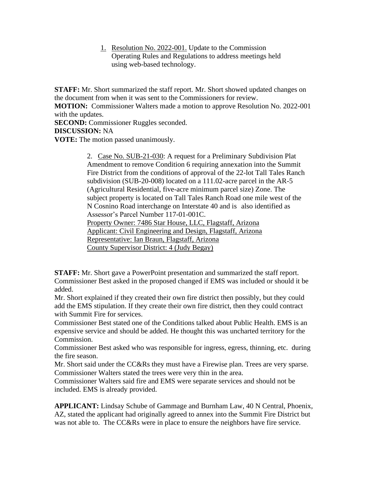1. Resolution No. 2022-001. Update to the Commission Operating Rules and Regulations to address meetings held using web-based technology.

**STAFF:** Mr. Short summarized the staff report. Mr. Short showed updated changes on the document from when it was sent to the Commissioners for review.

**MOTION:** Commissioner Walters made a motion to approve Resolution No. 2022-001 with the updates.

**SECOND:** Commissioner Ruggles seconded.

**DISCUSSION:** NA

**VOTE:** The motion passed unanimously.

2. Case No. SUB-21-030: A request for a Preliminary Subdivision Plat Amendment to remove Condition 6 requiring annexation into the Summit Fire District from the conditions of approval of the 22-lot Tall Tales Ranch subdivision (SUB-20-008) located on a 111.02-acre parcel in the AR-5 (Agricultural Residential, five-acre minimum parcel size) Zone. The subject property is located on Tall Tales Ranch Road one mile west of the N Cosnino Road interchange on Interstate 40 and is also identified as Assessor's Parcel Number 117-01-001C. Property Owner: 7486 Star House, LLC, Flagstaff, Arizona

Applicant: Civil Engineering and Design, Flagstaff, Arizona

Representative: Ian Braun, Flagstaff, Arizona

County Supervisor District: 4 (Judy Begay)

**STAFF:** Mr. Short gave a PowerPoint presentation and summarized the staff report. Commissioner Best asked in the proposed changed if EMS was included or should it be added.

Mr. Short explained if they created their own fire district then possibly, but they could add the EMS stipulation. If they create their own fire district, then they could contract with Summit Fire for services.

Commissioner Best stated one of the Conditions talked about Public Health. EMS is an expensive service and should be added. He thought this was uncharted territory for the Commission.

Commissioner Best asked who was responsible for ingress, egress, thinning, etc. during the fire season.

Mr. Short said under the CC&Rs they must have a Firewise plan. Trees are very sparse. Commissioner Walters stated the trees were very thin in the area.

Commissioner Walters said fire and EMS were separate services and should not be included. EMS is already provided.

**APPLICANT:** Lindsay Schube of Gammage and Burnham Law, 40 N Central, Phoenix, AZ, stated the applicant had originally agreed to annex into the Summit Fire District but was not able to. The CC&Rs were in place to ensure the neighbors have fire service.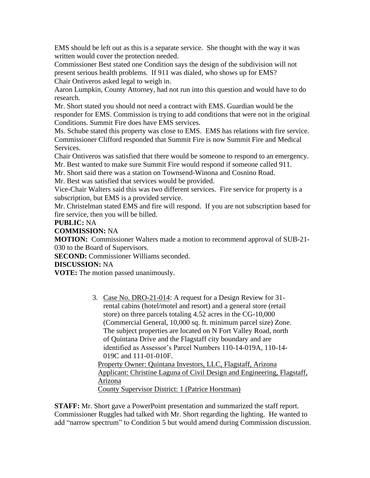EMS should be left out as this is a separate service. She thought with the way it was written would cover the protection needed.

Commissioner Best stated one Condition says the design of the subdivision will not present serious health problems. If 911 was dialed, who shows up for EMS? Chair Ontiveros asked legal to weigh in.

Aaron Lumpkin, County Attorney, had not run into this question and would have to do research.

Mr. Short stated you should not need a contract with EMS. Guardian would be the responder for EMS. Commission is trying to add conditions that were not in the original Conditions. Summit Fire does have EMS services.

Ms. Schube stated this property was close to EMS. EMS has relations with fire service. Commissioner Clifford responded that Summit Fire is now Summit Fire and Medical Services.

Chair Ontiveros was satisfied that there would be someone to respond to an emergency. Mr. Best wanted to make sure Summit Fire would respond if someone called 911.

Mr. Short said there was a station on Townsend-Winona and Cosnino Road.

Mr. Best was satisfied that services would be provided.

Vice-Chair Walters said this was two different services. Fire service for property is a subscription, but EMS is a provided service.

Mr. Christelman stated EMS and fire will respond. If you are not subscription based for fire service, then you will be billed.

#### **PUBLIC:** NA

**COMMISSION:** NA

**MOTION:** Commissioner Walters made a motion to recommend approval of SUB-21- 030 to the Board of Supervisors.

**SECOND:** Commissioner Williams seconded.

#### **DISCUSSION:** NA

**VOTE:** The motion passed unanimously.

3. Case No. DRO-21-014: A request for a Design Review for 31 rental cabins (hotel/motel and resort) and a general store (retail store) on three parcels totaling 4.52 acres in the CG-10,000 (Commercial General, 10,000 sq. ft. minimum parcel size) Zone. The subject properties are located on N Fort Valley Road, north of Quintana Drive and the Flagstaff city boundary and are identified as Assessor's Parcel Numbers 110-14-019A, 110-14- 019C and 111-01-010F. Property Owner: Quintana Investors, LLC, Flagstaff, Arizona Applicant: Christine Laguna of Civil Design and Engineering, Flagstaff, Arizona

County Supervisor District: 1 (Patrice Horstman)

**STAFF:** Mr. Short gave a PowerPoint presentation and summarized the staff report. Commissioner Ruggles had talked with Mr. Short regarding the lighting. He wanted to add "narrow spectrum" to Condition 5 but would amend during Commission discussion.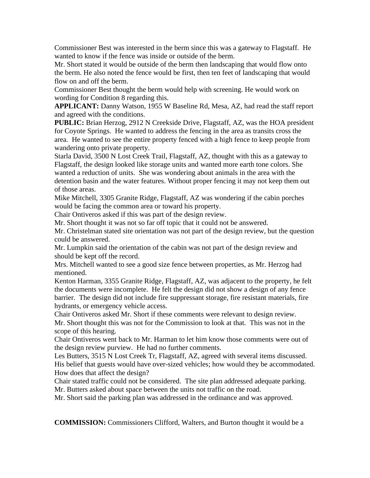Commissioner Best was interested in the berm since this was a gateway to Flagstaff. He wanted to know if the fence was inside or outside of the berm.

Mr. Short stated it would be outside of the berm then landscaping that would flow onto the berm. He also noted the fence would be first, then ten feet of landscaping that would flow on and off the berm.

Commissioner Best thought the berm would help with screening. He would work on wording for Condition 8 regarding this.

**APPLICANT:** Danny Watson, 1955 W Baseline Rd, Mesa, AZ, had read the staff report and agreed with the conditions.

**PUBLIC:** Brian Herzog, 2912 N Creekside Drive, Flagstaff, AZ, was the HOA president for Coyote Springs. He wanted to address the fencing in the area as transits cross the area. He wanted to see the entire property fenced with a high fence to keep people from wandering onto private property.

Starla David, 3500 N Lost Creek Trail, Flagstaff, AZ, thought with this as a gateway to Flagstaff, the design looked like storage units and wanted more earth tone colors. She wanted a reduction of units. She was wondering about animals in the area with the detention basin and the water features. Without proper fencing it may not keep them out of those areas.

Mike Mitchell, 3305 Granite Ridge, Flagstaff, AZ was wondering if the cabin porches would be facing the common area or toward his property.

Chair Ontiveros asked if this was part of the design review.

Mr. Short thought it was not so far off topic that it could not be answered.

Mr. Christelman stated site orientation was not part of the design review, but the question could be answered.

Mr. Lumpkin said the orientation of the cabin was not part of the design review and should be kept off the record.

Mrs. Mitchell wanted to see a good size fence between properties, as Mr. Herzog had mentioned.

Kenton Harman, 3355 Granite Ridge, Flagstaff, AZ, was adjacent to the property, he felt the documents were incomplete. He felt the design did not show a design of any fence barrier. The design did not include fire suppressant storage, fire resistant materials, fire hydrants, or emergency vehicle access.

Chair Ontiveros asked Mr. Short if these comments were relevant to design review. Mr. Short thought this was not for the Commission to look at that. This was not in the scope of this hearing.

Chair Ontiveros went back to Mr. Harman to let him know those comments were out of the design review purview. He had no further comments.

Les Butters, 3515 N Lost Creek Tr, Flagstaff, AZ, agreed with several items discussed. His belief that guests would have over-sized vehicles; how would they be accommodated. How does that affect the design?

Chair stated traffic could not be considered. The site plan addressed adequate parking. Mr. Butters asked about space between the units not traffic on the road.

Mr. Short said the parking plan was addressed in the ordinance and was approved.

**COMMISSION:** Commissioners Clifford, Walters, and Burton thought it would be a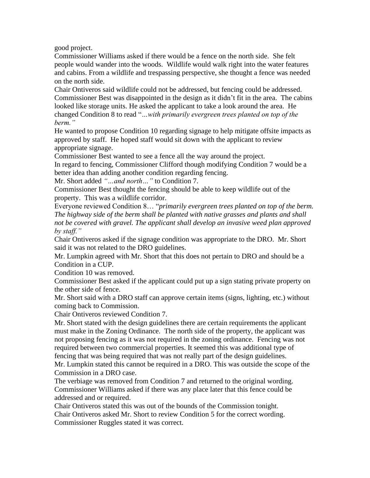good project.

Commissioner Williams asked if there would be a fence on the north side. She felt people would wander into the woods. Wildlife would walk right into the water features and cabins. From a wildlife and trespassing perspective, she thought a fence was needed on the north side.

Chair Ontiveros said wildlife could not be addressed, but fencing could be addressed. Commissioner Best was disappointed in the design as it didn't fit in the area. The cabins looked like storage units. He asked the applicant to take a look around the area. He changed Condition 8 to read "*…with primarily evergreen trees planted on top of the berm."*

He wanted to propose Condition 10 regarding signage to help mitigate offsite impacts as approved by staff. He hoped staff would sit down with the applicant to review appropriate signage.

Commissioner Best wanted to see a fence all the way around the project.

In regard to fencing, Commissioner Clifford though modifying Condition 7 would be a better idea than adding another condition regarding fencing.

Mr. Short added *"…and north…"* to Condition 7.

Commissioner Best thought the fencing should be able to keep wildlife out of the property. This was a wildlife corridor.

Everyone reviewed Condition 8… "*primarily evergreen trees planted on top of the berm. The highway side of the berm shall be planted with native grasses and plants and shall not be covered with gravel. The applicant shall develop an invasive weed plan approved by staff."*

Chair Ontiveros asked if the signage condition was appropriate to the DRO. Mr. Short said it was not related to the DRO guidelines.

Mr. Lumpkin agreed with Mr. Short that this does not pertain to DRO and should be a Condition in a CUP.

Condition 10 was removed.

Commissioner Best asked if the applicant could put up a sign stating private property on the other side of fence.

Mr. Short said with a DRO staff can approve certain items (signs, lighting, etc.) without coming back to Commission.

Chair Ontiveros reviewed Condition 7.

Mr. Short stated with the design guidelines there are certain requirements the applicant must make in the Zoning Ordinance. The north side of the property, the applicant was not proposing fencing as it was not required in the zoning ordinance. Fencing was not required between two commercial properties. It seemed this was additional type of fencing that was being required that was not really part of the design guidelines.

Mr. Lumpkin stated this cannot be required in a DRO. This was outside the scope of the Commission in a DRO case.

The verbiage was removed from Condition 7 and returned to the original wording. Commissioner Williams asked if there was any place later that this fence could be addressed and or required.

Chair Ontiveros stated this was out of the bounds of the Commission tonight. Chair Ontiveros asked Mr. Short to review Condition 5 for the correct wording. Commissioner Ruggles stated it was correct.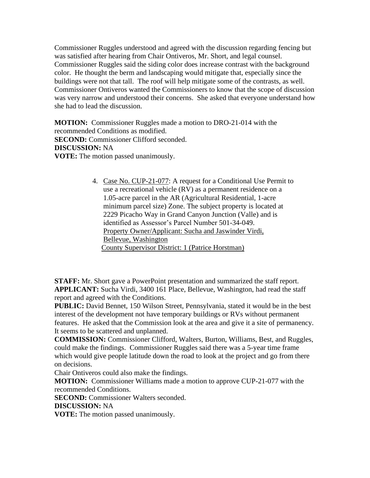Commissioner Ruggles understood and agreed with the discussion regarding fencing but was satisfied after hearing from Chair Ontiveros, Mr. Short, and legal counsel. Commissioner Ruggles said the siding color does increase contrast with the background color. He thought the berm and landscaping would mitigate that, especially since the buildings were not that tall. The roof will help mitigate some of the contrasts, as well. Commissioner Ontiveros wanted the Commissioners to know that the scope of discussion was very narrow and understood their concerns. She asked that everyone understand how she had to lead the discussion.

**MOTION:** Commissioner Ruggles made a motion to DRO-21-014 with the recommended Conditions as modified. **SECOND:** Commissioner Clifford seconded. **DISCUSSION:** NA **VOTE:** The motion passed unanimously.

> 4. Case No. CUP-21-077: A request for a Conditional Use Permit to use a recreational vehicle (RV) as a permanent residence on a 1.05-acre parcel in the AR (Agricultural Residential, 1-acre minimum parcel size) Zone. The subject property is located at 2229 Picacho Way in Grand Canyon Junction (Valle) and is identified as Assessor's Parcel Number 501-34-049. Property Owner/Applicant: Sucha and Jaswinder Virdi, Bellevue, Washington County Supervisor District: 1 (Patrice Horstman)

**STAFF:** Mr. Short gave a PowerPoint presentation and summarized the staff report. **APPLICANT:** Sucha Virdi, 3400 161 Place, Bellevue, Washington, had read the staff report and agreed with the Conditions.

**PUBLIC:** David Bennet, 150 Wilson Street, Pennsylvania, stated it would be in the best interest of the development not have temporary buildings or RVs without permanent features. He asked that the Commission look at the area and give it a site of permanency. It seems to be scattered and unplanned.

**COMMISSION:** Commissioner Clifford, Walters, Burton, Williams, Best, and Ruggles, could make the findings. Commissioner Ruggles said there was a 5-year time frame which would give people latitude down the road to look at the project and go from there on decisions.

Chair Ontiveros could also make the findings.

**MOTION:** Commissioner Williams made a motion to approve CUP-21-077 with the recommended Conditions.

**SECOND:** Commissioner Walters seconded.

**DISCUSSION:** NA

**VOTE:** The motion passed unanimously.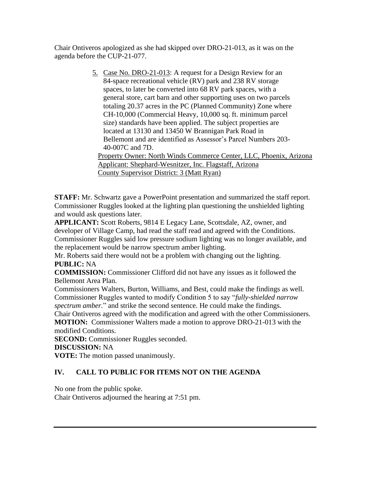Chair Ontiveros apologized as she had skipped over DRO-21-013, as it was on the agenda before the CUP-21-077.

> 5. Case No. DRO-21-013: A request for a Design Review for an 84-space recreational vehicle (RV) park and 238 RV storage spaces, to later be converted into 68 RV park spaces, with a general store, cart barn and other supporting uses on two parcels totaling 20.37 acres in the PC (Planned Community) Zone where CH-10,000 (Commercial Heavy, 10,000 sq. ft. minimum parcel size) standards have been applied. The subject properties are located at 13130 and 13450 W Brannigan Park Road in Bellemont and are identified as Assessor's Parcel Numbers 203- 40-007C and 7D. Property Owner: North Winds Commerce Center, LLC, Phoenix, Arizona

Applicant: Shephard-Wesnitzer, Inc. Flagstaff, Arizona County Supervisor District: 3 (Matt Ryan)

**STAFF:** Mr. Schwartz gave a PowerPoint presentation and summarized the staff report. Commissioner Ruggles looked at the lighting plan questioning the unshielded lighting and would ask questions later.

**APPLICANT:** Scott Roberts, 9814 E Legacy Lane, Scottsdale, AZ, owner, and developer of Village Camp, had read the staff read and agreed with the Conditions. Commissioner Ruggles said low pressure sodium lighting was no longer available, and the replacement would be narrow spectrum amber lighting.

Mr. Roberts said there would not be a problem with changing out the lighting. **PUBLIC:** NA

**COMMISSION:** Commissioner Clifford did not have any issues as it followed the Bellemont Area Plan.

Commissioners Walters, Burton, Williams, and Best, could make the findings as well. Commissioner Ruggles wanted to modify Condition 5 to say "*fully-shielded narrow spectrum amber.*" and strike the second sentence. He could make the findings.

Chair Ontiveros agreed with the modification and agreed with the other Commissioners.

**MOTION:** Commissioner Walters made a motion to approve DRO-21-013 with the modified Conditions.

**SECOND:** Commissioner Ruggles seconded.

**DISCUSSION:** NA

**VOTE:** The motion passed unanimously.

## **IV. CALL TO PUBLIC FOR ITEMS NOT ON THE AGENDA**

No one from the public spoke.

Chair Ontiveros adjourned the hearing at 7:51 pm.